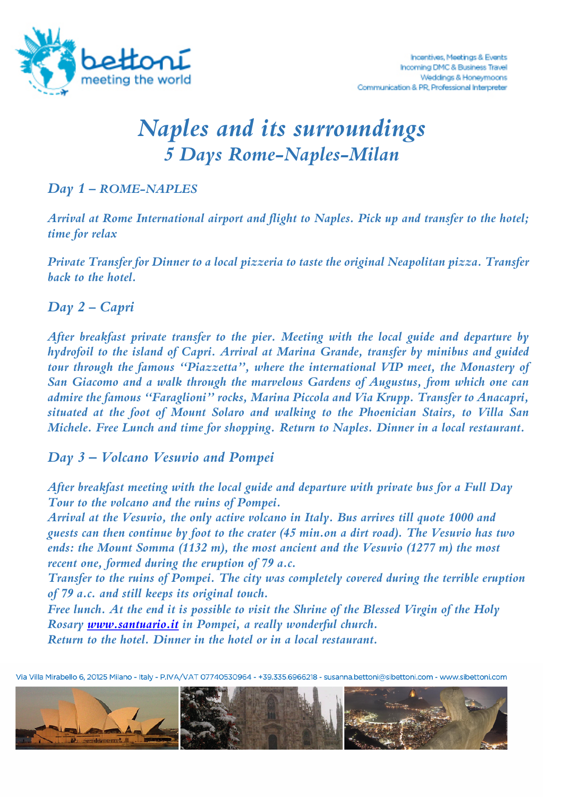

# *Naples and its surroundings 5 Days Rome-Naples-Milan*

#### *Day 1 – ROME-NAPLES*

*Arrival at Rome International airport and flight to Naples. Pick up and transfer to the hotel; time for relax* 

*Private Transfer for Dinner to a local pizzeria to taste the original Neapolitan pizza. Transfer back to the hotel.*

### *Day 2 – Capri*

*After breakfast private transfer to the pier. Meeting with the local guide and departure by hydrofoil to the island of Capri. Arrival at Marina Grande, transfer by minibus and guided tour through the famous "Piazzetta", where the international VIP meet, the Monastery of San Giacomo and a walk through the marvelous Gardens of Augustus, from which one can admire the famous "Faraglioni" rocks, Marina Piccola and Via Krupp. Transfer to Anacapri, situated at the foot of Mount Solaro and walking to the Phoenician Stairs, to Villa San Michele. Free Lunch and time for shopping. Return to Naples. Dinner in a local restaurant.* 

#### *Day 3 – Volcano Vesuvio and Pompei*

*After breakfast meeting with the local guide and departure with private bus for a Full Day Tour to the volcano and the ruins of Pompei.*

*Arrival at the Vesuvio, the only active volcano in Italy. Bus arrives till quote 1000 and guests can then continue by foot to the crater (45 min.on a dirt road). The Vesuvio has two ends: the Mount Somma (1132 m), the most ancient and the Vesuvio (1277 m) the most recent one, formed during the eruption of 79 a.c.*

*Transfer to the ruins of Pompei. The city was completely covered during the terrible eruption of 79 a.c. and still keeps its original touch.* 

*Free lunch. At the end it is possible to visit the Shrine of the Blessed Virgin of the Holy Rosary www.santuario.it in Pompei, a really wonderful church. Return to the hotel. Dinner in the hotel or in a local restaurant.*

Via Villa Mirabello 6, 20125 Milano - Italy - P.IVA/VAT 07740530964 - +39.335.6966218 - susanna.bettoni@sibettoni.com - www.sibettoni.com